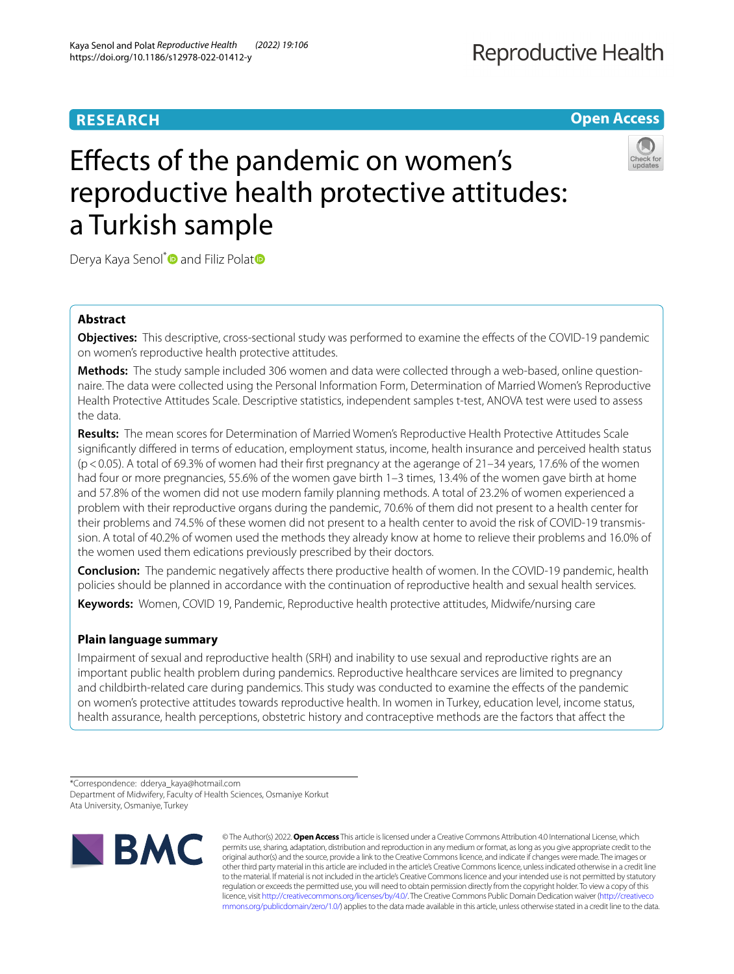# **RESEARCH**

**Open Access**

# Efects of the pandemic on women's reproductive health protective attitudes: a Turkish sample



Derya Kaya Senol<sup>[\\*](http://orcid.org/0000-0002-9101-2909)</sup> and Filiz Pola[t](http://orcid.org/0000-0001-8326-9504)<sup>®</sup>

## **Abstract**

**Objectives:** This descriptive, cross-sectional study was performed to examine the efects of the COVID-19 pandemic on women's reproductive health protective attitudes.

**Methods:** The study sample included 306 women and data were collected through a web-based, online questionnaire. The data were collected using the Personal Information Form, Determination of Married Women's Reproductive Health Protective Attitudes Scale. Descriptive statistics, independent samples t-test, ANOVA test were used to assess the data.

**Results:** The mean scores for Determination of Married Women's Reproductive Health Protective Attitudes Scale signifcantly difered in terms of education, employment status, income, health insurance and perceived health status (p<0.05). A total of 69.3% of women had their frst pregnancy at the agerange of 21–34 years, 17.6% of the women had four or more pregnancies, 55.6% of the women gave birth 1–3 times, 13.4% of the women gave birth at home and 57.8% of the women did not use modern family planning methods. A total of 23.2% of women experienced a problem with their reproductive organs during the pandemic, 70.6% of them did not present to a health center for their problems and 74.5% of these women did not present to a health center to avoid the risk of COVID-19 transmission. A total of 40.2% of women used the methods they already know at home to relieve their problems and 16.0% of the women used them edications previously prescribed by their doctors.

**Conclusion:** The pandemic negatively afects there productive health of women. In the COVID-19 pandemic, health policies should be planned in accordance with the continuation of reproductive health and sexual health services.

**Keywords:** Women, COVID 19, Pandemic, Reproductive health protective attitudes, Midwife/nursing care

## **Plain language summary**

Impairment of sexual and reproductive health (SRH) and inability to use sexual and reproductive rights are an important public health problem during pandemics. Reproductive healthcare services are limited to pregnancy and childbirth-related care during pandemics. This study was conducted to examine the efects of the pandemic on women's protective attitudes towards reproductive health. In women in Turkey, education level, income status, health assurance, health perceptions, obstetric history and contraceptive methods are the factors that afect the

<sup>\*</sup>Correspondence: dderya\_kaya@hotmail.com Department of Midwifery, Faculty of Health Sciences, Osmaniye Korkut Ata University, Osmaniye, Turkey



© The Author(s) 2022. **Open Access** This article is licensed under a Creative Commons Attribution 4.0 International License, which permits use, sharing, adaptation, distribution and reproduction in any medium or format, as long as you give appropriate credit to the original author(s) and the source, provide a link to the Creative Commons licence, and indicate if changes were made. The images or other third party material in this article are included in the article's Creative Commons licence, unless indicated otherwise in a credit line to the material. If material is not included in the article's Creative Commons licence and your intended use is not permitted by statutory regulation or exceeds the permitted use, you will need to obtain permission directly from the copyright holder. To view a copy of this licence, visi[t http://creativecommons.org/licenses/by/4.0/.](http://creativecommons.org/licenses/by/4.0/) The Creative Commons Public Domain Dedication waiver ([http://creativeco](http://creativecommons.org/publicdomain/zero/1.0/) [mmons.org/publicdomain/zero/1.0/](http://creativecommons.org/publicdomain/zero/1.0/)) applies to the data made available in this article, unless otherwise stated in a credit line to the data.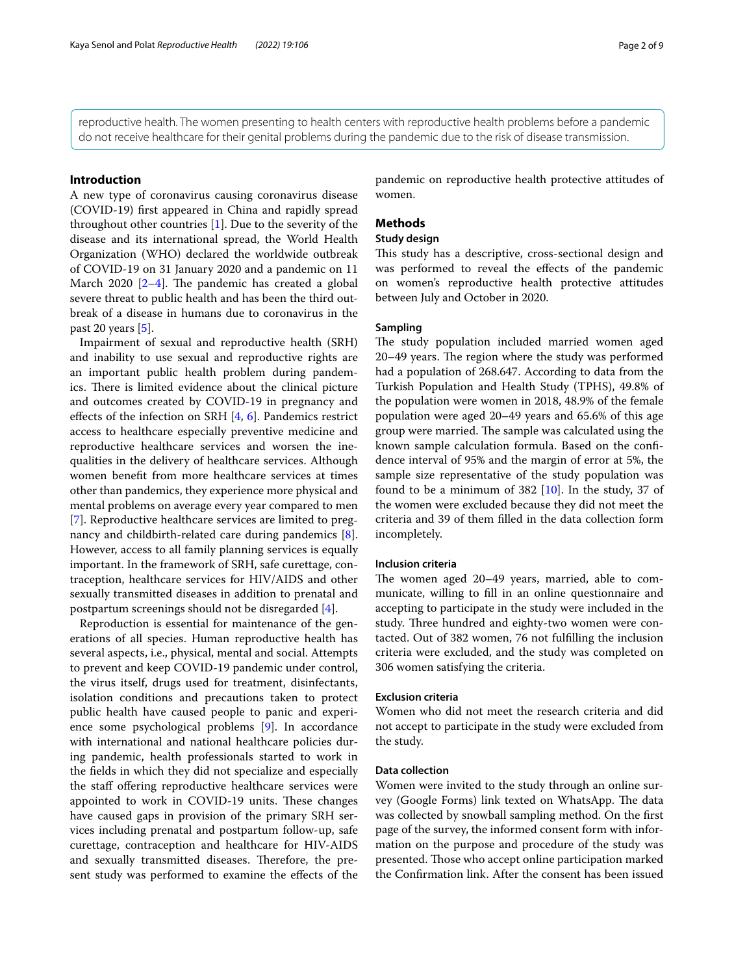reproductive health. The women presenting to health centers with reproductive health problems before a pandemic do not receive healthcare for their genital problems during the pandemic due to the risk of disease transmission.

## **Introduction**

A new type of coronavirus causing coronavirus disease (COVID-19) frst appeared in China and rapidly spread throughout other countries [\[1](#page-7-0)]. Due to the severity of the disease and its international spread, the World Health Organization (WHO) declared the worldwide outbreak of COVID-19 on 31 January 2020 and a pandemic on 11 March 2020  $[2-4]$  $[2-4]$  $[2-4]$ . The pandemic has created a global severe threat to public health and has been the third outbreak of a disease in humans due to coronavirus in the past 20 years [[5\]](#page-7-3).

Impairment of sexual and reproductive health (SRH) and inability to use sexual and reproductive rights are an important public health problem during pandemics. There is limited evidence about the clinical picture and outcomes created by COVID-19 in pregnancy and efects of the infection on SRH [[4](#page-7-2), [6\]](#page-7-4). Pandemics restrict access to healthcare especially preventive medicine and reproductive healthcare services and worsen the inequalities in the delivery of healthcare services. Although women beneft from more healthcare services at times other than pandemics, they experience more physical and mental problems on average every year compared to men [[7\]](#page-7-5). Reproductive healthcare services are limited to pregnancy and childbirth-related care during pandemics [\[8](#page-7-6)]. However, access to all family planning services is equally important. In the framework of SRH, safe curettage, contraception, healthcare services for HIV/AIDS and other sexually transmitted diseases in addition to prenatal and postpartum screenings should not be disregarded [[4\]](#page-7-2).

Reproduction is essential for maintenance of the generations of all species. Human reproductive health has several aspects, i.e., physical, mental and social. Attempts to prevent and keep COVID-19 pandemic under control, the virus itself, drugs used for treatment, disinfectants, isolation conditions and precautions taken to protect public health have caused people to panic and experience some psychological problems [[9\]](#page-7-7). In accordance with international and national healthcare policies during pandemic, health professionals started to work in the felds in which they did not specialize and especially the staff offering reproductive healthcare services were appointed to work in COVID-19 units. These changes have caused gaps in provision of the primary SRH services including prenatal and postpartum follow-up, safe curettage, contraception and healthcare for HIV-AIDS and sexually transmitted diseases. Therefore, the present study was performed to examine the efects of the pandemic on reproductive health protective attitudes of women.

## **Methods**

## **Study design**

This study has a descriptive, cross-sectional design and was performed to reveal the efects of the pandemic on women's reproductive health protective attitudes between July and October in 2020.

## **Sampling**

The study population included married women aged 20–49 years. The region where the study was performed had a population of 268.647. According to data from the Turkish Population and Health Study (TPHS), 49.8% of the population were women in 2018, 48.9% of the female population were aged 20–49 years and 65.6% of this age group were married. The sample was calculated using the known sample calculation formula. Based on the confdence interval of 95% and the margin of error at 5%, the sample size representative of the study population was found to be a minimum of 382 [\[10](#page-7-8)]. In the study, 37 of the women were excluded because they did not meet the criteria and 39 of them flled in the data collection form incompletely.

#### **Inclusion criteria**

The women aged 20-49 years, married, able to communicate, willing to fll in an online questionnaire and accepting to participate in the study were included in the study. Three hundred and eighty-two women were contacted. Out of 382 women, 76 not fulflling the inclusion criteria were excluded, and the study was completed on 306 women satisfying the criteria.

#### **Exclusion criteria**

Women who did not meet the research criteria and did not accept to participate in the study were excluded from the study.

## **Data collection**

Women were invited to the study through an online survey (Google Forms) link texted on WhatsApp. The data was collected by snowball sampling method. On the frst page of the survey, the informed consent form with information on the purpose and procedure of the study was presented. Those who accept online participation marked the Confrmation link. After the consent has been issued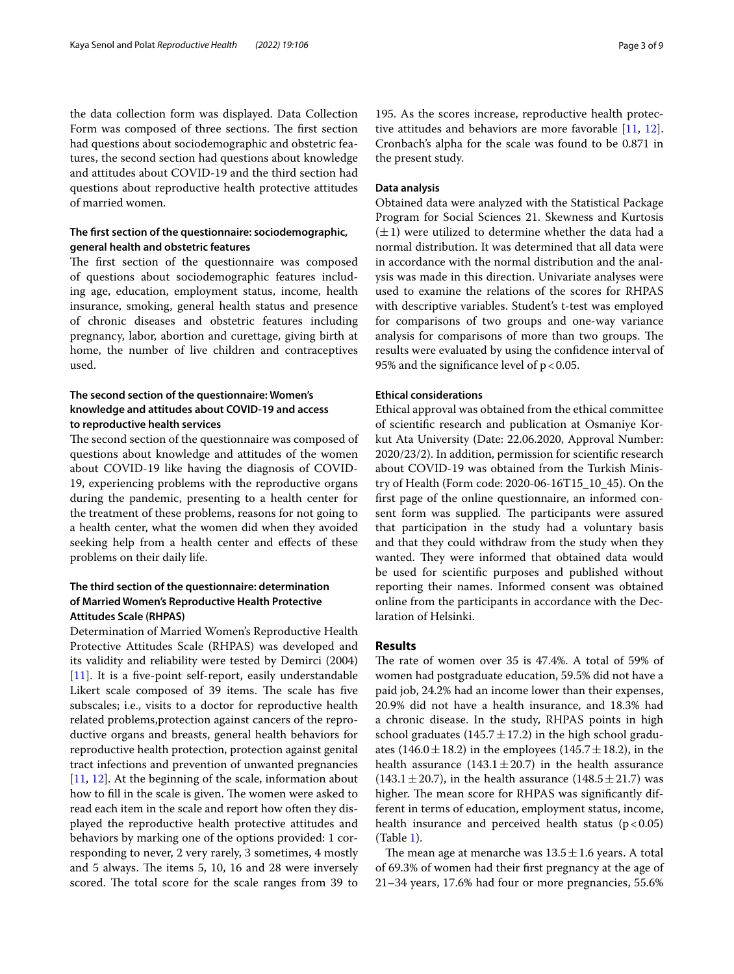the data collection form was displayed. Data Collection Form was composed of three sections. The first section had questions about sociodemographic and obstetric features, the second section had questions about knowledge and attitudes about COVID-19 and the third section had questions about reproductive health protective attitudes of married women.

## **The frst section of the questionnaire: sociodemographic, general health and obstetric features**

The first section of the questionnaire was composed of questions about sociodemographic features including age, education, employment status, income, health insurance, smoking, general health status and presence of chronic diseases and obstetric features including pregnancy, labor, abortion and curettage, giving birth at home, the number of live children and contraceptives used.

## **The second section of the questionnaire: Women's knowledge and attitudes about COVID‑19 and access to reproductive health services**

The second section of the questionnaire was composed of questions about knowledge and attitudes of the women about COVID-19 like having the diagnosis of COVID-19, experiencing problems with the reproductive organs during the pandemic, presenting to a health center for the treatment of these problems, reasons for not going to a health center, what the women did when they avoided seeking help from a health center and efects of these problems on their daily life.

## **The third section of the questionnaire: determination of Married Women's Reproductive Health Protective Attitudes Scale (RHPAS)**

Determination of Married Women's Reproductive Health Protective Attitudes Scale (RHPAS) was developed and its validity and reliability were tested by Demirci (2004) [[11\]](#page-7-9). It is a five-point self-report, easily understandable Likert scale composed of 39 items. The scale has five subscales; i.e., visits to a doctor for reproductive health related problems,protection against cancers of the reproductive organs and breasts, general health behaviors for reproductive health protection, protection against genital tract infections and prevention of unwanted pregnancies [[11,](#page-7-9) [12](#page-7-10)]. At the beginning of the scale, information about how to fill in the scale is given. The women were asked to read each item in the scale and report how often they displayed the reproductive health protective attitudes and behaviors by marking one of the options provided: 1 corresponding to never, 2 very rarely, 3 sometimes, 4 mostly and 5 always. The items 5, 10, 16 and 28 were inversely scored. The total score for the scale ranges from 39 to

195. As the scores increase, reproductive health protective attitudes and behaviors are more favorable [[11,](#page-7-9) [12](#page-7-10)]. Cronbach's alpha for the scale was found to be 0.871 in the present study.

#### **Data analysis**

Obtained data were analyzed with the Statistical Package Program for Social Sciences 21. Skewness and Kurtosis  $(\pm 1)$  were utilized to determine whether the data had a normal distribution. It was determined that all data were in accordance with the normal distribution and the analysis was made in this direction. Univariate analyses were used to examine the relations of the scores for RHPAS with descriptive variables. Student's t-test was employed for comparisons of two groups and one-way variance analysis for comparisons of more than two groups. The results were evaluated by using the confdence interval of 95% and the significance level of  $p < 0.05$ .

#### **Ethical considerations**

Ethical approval was obtained from the ethical committee of scientifc research and publication at Osmaniye Korkut Ata University (Date: 22.06.2020, Approval Number: 2020/23/2). In addition, permission for scientifc research about COVID-19 was obtained from the Turkish Ministry of Health (Form code: 2020-06-16T15\_10\_45). On the frst page of the online questionnaire, an informed consent form was supplied. The participants were assured that participation in the study had a voluntary basis and that they could withdraw from the study when they wanted. They were informed that obtained data would be used for scientifc purposes and published without reporting their names. Informed consent was obtained online from the participants in accordance with the Declaration of Helsinki.

## **Results**

The rate of women over 35 is 47.4%. A total of 59% of women had postgraduate education, 59.5% did not have a paid job, 24.2% had an income lower than their expenses, 20.9% did not have a health insurance, and 18.3% had a chronic disease. In the study, RHPAS points in high school graduates  $(145.7 \pm 17.2)$  in the high school graduates (146.0 $\pm$ 18.2) in the employees (145.7 $\pm$ 18.2), in the health assurance  $(143.1 \pm 20.7)$  in the health assurance  $(143.1 \pm 20.7)$ , in the health assurance  $(148.5 \pm 21.7)$  was higher. The mean score for RHPAS was significantly different in terms of education, employment status, income, health insurance and perceived health status  $(p < 0.05)$ (Table [1\)](#page-3-0).

The mean age at menarche was  $13.5 \pm 1.6$  years. A total of 69.3% of women had their frst pregnancy at the age of 21–34 years, 17.6% had four or more pregnancies, 55.6%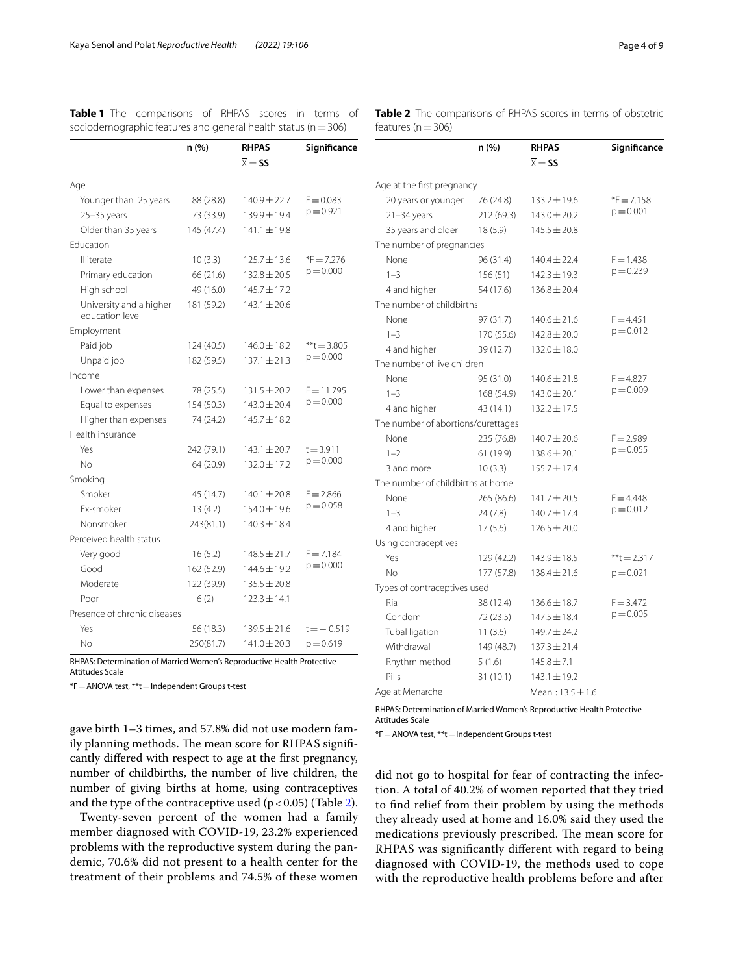|                                            | n(%)       | <b>RHPAS</b>               | Significance  |
|--------------------------------------------|------------|----------------------------|---------------|
|                                            |            | $\overline{\times} \pm$ SS |               |
| Age                                        |            |                            |               |
| Younger than 25 years                      | 88 (28.8)  | $140.9 \pm 22.7$           | $F = 0.083$   |
| $25 - 35$ years                            | 73 (33.9)  | $139.9 \pm 19.4$           | $p = 0.921$   |
| Older than 35 years                        | 145 (47.4) | $141.1 \pm 19.8$           |               |
| Education                                  |            |                            |               |
| Illiterate                                 | 10(3.3)    | $125.7 \pm 13.6$           | $*F = 7.276$  |
| Primary education                          | 66 (21.6)  | $132.8 \pm 20.5$           | $p = 0.000$   |
| High school                                | 49 (16.0)  | 145.7±17.2                 |               |
| University and a higher<br>education level | 181 (59.2) | $143.1 \pm 20.6$           |               |
| Employment                                 |            |                            |               |
| Paid job                                   | 124 (40.5) | $146.0 \pm 18.2$           | $**t = 3.805$ |
| Unpaid job                                 | 182 (59.5) | $137.1 \pm 21.3$           | $p = 0.000$   |
| Income                                     |            |                            |               |
| Lower than expenses                        | 78 (25.5)  | $131.5 \pm 20.2$           | $F = 11.795$  |
| Equal to expenses                          | 154 (50.3) | $143.0 \pm 20.4$           | $p = 0.000$   |
| Higher than expenses                       | 74 (24.2)  | $145.7 \pm 18.2$           |               |
| Health insurance                           |            |                            |               |
| Yes                                        | 242 (79.1) | $143.1 \pm 20.7$           | $t = 3.911$   |
| N <sub>o</sub>                             | 64 (20.9)  | $132.0 \pm 17.2$           | $p = 0.000$   |
| Smoking                                    |            |                            |               |
| Smoker                                     | 45 (14.7)  | $140.1 \pm 20.8$           | $F = 2.866$   |
| Fx-smoker                                  | 13(4.2)    | $154.0 \pm 19.6$           | $p = 0.058$   |
| Nonsmoker                                  | 243(81.1)  | $140.3 \pm 18.4$           |               |
| Perceived health status                    |            |                            |               |
| Very good                                  | 16(5.2)    | $148.5 \pm 21.7$           | $F = 7.184$   |
| Good                                       | 162 (52.9) | 144.6 ± 19.2               | $p = 0.000$   |
| Moderate                                   | 122 (39.9) | $135.5 \pm 20.8$           |               |
| Poor                                       | 6(2)       | $123.3 \pm 14.1$           |               |
| Presence of chronic diseases               |            |                            |               |
| Yes                                        | 56 (18.3)  | $139.5 \pm 21.6$           | $t = -0.519$  |
| No                                         | 250(81.7)  | $141.0 \pm 20.3$           | $p = 0.619$   |

<span id="page-3-0"></span>**Table 1** The comparisons of RHPAS scores in terms of sociodemographic features and general health status ( $n=306$ )

RHPAS: Determination of Married Women's Reproductive Health Protective Attitudes Scale

\*F=ANOVA test, \*\*t=Independent Groups t-test

gave birth 1–3 times, and 57.8% did not use modern family planning methods. The mean score for RHPAS significantly difered with respect to age at the frst pregnancy, number of childbirths, the number of live children, the number of giving births at home, using contraceptives and the type of the contraceptive used  $(p < 0.05)$  (Table [2](#page-3-1)).

Twenty-seven percent of the women had a family member diagnosed with COVID-19, 23.2% experienced problems with the reproductive system during the pandemic, 70.6% did not present to a health center for the treatment of their problems and 74.5% of these women

<span id="page-3-1"></span>**Table 2** The comparisons of RHPAS scores in terms of obstetric features ( $n=306$ )

|                                    | n (%)      | <b>RHPAS</b>               | Significance  |
|------------------------------------|------------|----------------------------|---------------|
|                                    |            | $\overline{\times} \pm$ SS |               |
| Age at the first pregnancy         |            |                            |               |
| 20 years or younger                | 76 (24.8)  | $133.2 \pm 19.6$           | $E = 7.158$   |
| $21 - 34$ years                    | 212 (69.3) | $143.0 \pm 20.2$           | $p = 0.001$   |
| 35 years and older                 | 18 (5.9)   | $145.5 \pm 20.8$           |               |
| The number of pregnancies          |            |                            |               |
| None                               | 96 (31.4)  | $140.4 \pm 22.4$           | $F = 1.438$   |
| $1 - 3$                            | 156 (51)   | $142.3 \pm 19.3$           | $p = 0.239$   |
| 4 and higher                       | 54 (17.6)  | $136.8 \pm 20.4$           |               |
| The number of childbirths          |            |                            |               |
| None                               | 97 (31.7)  | $140.6 \pm 21.6$           | $F = 4.451$   |
| $1 - 3$                            | 170 (55.6) | $142.8 \pm 20.0$           | $p = 0.012$   |
| 4 and higher                       | 39 (12.7)  | $132.0 \pm 18.0$           |               |
| The number of live children        |            |                            |               |
| None                               | 95 (31.0)  | $140.6 \pm 21.8$           | $F = 4.827$   |
| $1 - 3$                            | 168 (54.9) | $143.0 \pm 20.1$           | $p = 0.009$   |
| 4 and higher                       | 43 (14.1)  | $132.2 \pm 17.5$           |               |
| The number of abortions/curettages |            |                            |               |
| None                               | 235 (76.8) | $140.7 \pm 20.6$           | $F = 2.989$   |
| $1 - 2$                            | 61 (19.9)  | $138.6 \pm 20.1$           | $p = 0.055$   |
| 3 and more                         | 10(3.3)    | $155.7 \pm 17.4$           |               |
| The number of childbirths at home  |            |                            |               |
| None                               | 265 (86.6) | 141.7±20.5                 | $F = 4.448$   |
| $1 - 3$                            | 24 (7.8)   | $140.7 \pm 17.4$           | $p = 0.012$   |
| 4 and higher                       | 17(5.6)    | $126.5 \pm 20.0$           |               |
| Using contraceptives               |            |                            |               |
| Yes                                | 129 (42.2) | 143.9 ± 18.5               | $**t = 2.317$ |
| No                                 | 177 (57.8) | $138.4 \pm 21.6$           | $p = 0.021$   |
| Types of contraceptives used       |            |                            |               |
| Ria                                | 38 (12.4)  | $136.6 \pm 18.7$           | $F = 3.472$   |
| Condom                             | 72 (23.5)  | $147.5 \pm 18.4$           | $p = 0.005$   |
| Tubal ligation                     | 11(3.6)    | 149.7±24.2                 |               |
| Withdrawal                         | 149 (48.7) | $137.3 \pm 21.4$           |               |
| Rhythm method                      | 5(1.6)     | $145.8 \pm 7.1$            |               |
| Pills                              | 31 (10.1)  | $143.1 \pm 19.2$           |               |
| Age at Menarche                    |            | Mean: $13.5 \pm 1.6$       |               |

RHPAS: Determination of Married Women's Reproductive Health Protective Attitudes Scale

\*F=ANOVA test, \*\*t=Independent Groups t-test

did not go to hospital for fear of contracting the infection. A total of 40.2% of women reported that they tried to fnd relief from their problem by using the methods they already used at home and 16.0% said they used the medications previously prescribed. The mean score for RHPAS was signifcantly diferent with regard to being diagnosed with COVID-19, the methods used to cope with the reproductive health problems before and after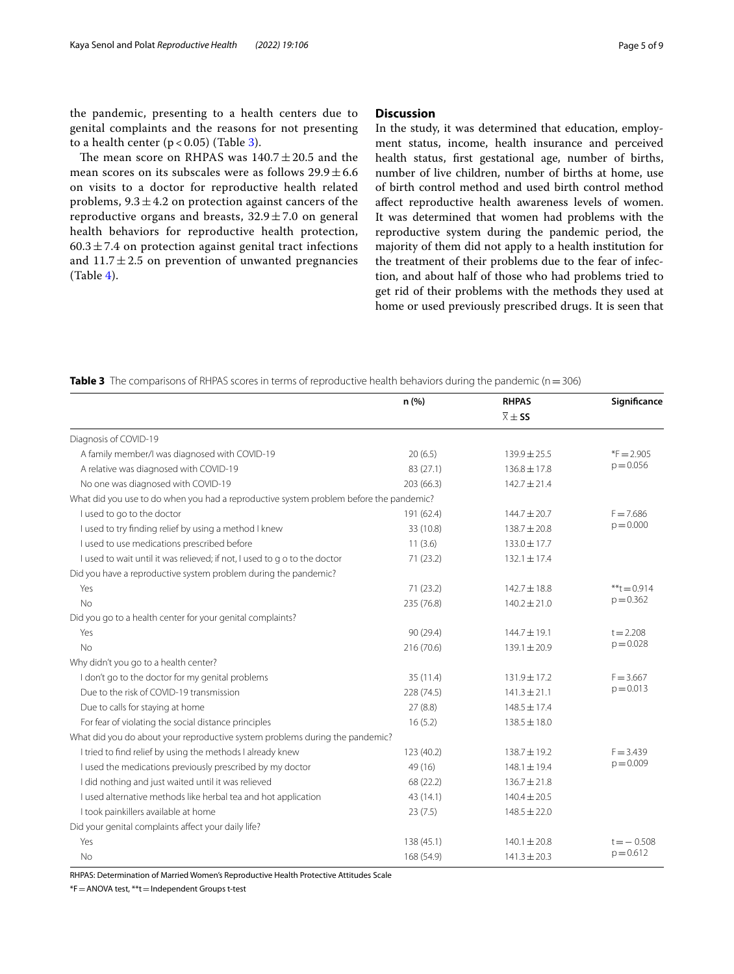the pandemic, presenting to a health centers due to genital complaints and the reasons for not presenting to a health center  $(p < 0.05)$  (Table [3\)](#page-4-0).

The mean score on RHPAS was  $140.7 \pm 20.5$  and the mean scores on its subscales were as follows  $29.9 \pm 6.6$ on visits to a doctor for reproductive health related problems,  $9.3 \pm 4.2$  on protection against cancers of the reproductive organs and breasts,  $32.9 \pm 7.0$  on general health behaviors for reproductive health protection,  $60.3 \pm 7.4$  on protection against genital tract infections and  $11.7 \pm 2.5$  on prevention of unwanted pregnancies (Table [4\)](#page-5-0).

## **Discussion**

In the study, it was determined that education, employment status, income, health insurance and perceived health status, frst gestational age, number of births, number of live children, number of births at home, use of birth control method and used birth control method afect reproductive health awareness levels of women. It was determined that women had problems with the reproductive system during the pandemic period, the majority of them did not apply to a health institution for the treatment of their problems due to the fear of infection, and about half of those who had problems tried to get rid of their problems with the methods they used at home or used previously prescribed drugs. It is seen that

<span id="page-4-0"></span>**Table 3** The comparisons of RHPAS scores in terms of reproductive health behaviors during the pandemic (n = 306)

|                                                                                        | n (%)      | <b>RHPAS</b>           | Significance   |
|----------------------------------------------------------------------------------------|------------|------------------------|----------------|
|                                                                                        |            | $\overline{X} \pm S$ S |                |
| Diagnosis of COVID-19                                                                  |            |                        |                |
| A family member/I was diagnosed with COVID-19                                          | 20(6.5)    | 139.9 ± 25.5           | $*F = 2.905$   |
| A relative was diagnosed with COVID-19                                                 | 83 (27.1)  | $136.8 \pm 17.8$       | $p = 0.056$    |
| No one was diagnosed with COVID-19                                                     | 203 (66.3) | $142.7 \pm 21.4$       |                |
| What did you use to do when you had a reproductive system problem before the pandemic? |            |                        |                |
| I used to go to the doctor                                                             | 191 (62.4) | $144.7 \pm 20.7$       | $F = 7.686$    |
| I used to try finding relief by using a method I knew                                  | 33 (10.8)  | $138.7 \pm 20.8$       | $p = 0.000$    |
| I used to use medications prescribed before                                            | 11(3.6)    | 133.0 ± 17.7           |                |
| I used to wait until it was relieved; if not, I used to g o to the doctor              | 71(23.2)   | $132.1 \pm 17.4$       |                |
| Did you have a reproductive system problem during the pandemic?                        |            |                        |                |
| Yes                                                                                    | 71(23.2)   | $142.7 \pm 18.8$       | $***t = 0.914$ |
| No                                                                                     | 235 (76.8) | $140.2 \pm 21.0$       | $p = 0.362$    |
| Did you go to a health center for your genital complaints?                             |            |                        |                |
| Yes                                                                                    | 90 (29.4)  | $144.7 \pm 19.1$       | $t = 2.208$    |
| No                                                                                     | 216 (70.6) | $139.1 \pm 20.9$       | $p = 0.028$    |
| Why didn't you go to a health center?                                                  |            |                        |                |
| I don't go to the doctor for my genital problems                                       | 35(11.4)   | $131.9 \pm 17.2$       | $F = 3.667$    |
| Due to the risk of COVID-19 transmission                                               | 228 (74.5) | $141.3 \pm 21.1$       | $p = 0.013$    |
| Due to calls for staying at home                                                       | 27(8.8)    | $148.5 \pm 17.4$       |                |
| For fear of violating the social distance principles                                   | 16(5.2)    | $138.5 \pm 18.0$       |                |
| What did you do about your reproductive system problems during the pandemic?           |            |                        |                |
| I tried to find relief by using the methods I already knew                             | 123 (40.2) | $138.7 \pm 19.2$       | $F = 3.439$    |
| I used the medications previously prescribed by my doctor                              | 49 (16)    | 148.1±19.4             | $p = 0.009$    |
| I did nothing and just waited until it was relieved                                    | 68 (22.2)  | $136.7 \pm 21.8$       |                |
| I used alternative methods like herbal tea and hot application                         | 43 (14.1)  | $140.4 \pm 20.5$       |                |
| I took painkillers available at home                                                   | 23(7.5)    | $148.5 \pm 22.0$       |                |
| Did your genital complaints affect your daily life?                                    |            |                        |                |
| Yes                                                                                    | 138 (45.1) | $140.1 \pm 20.8$       | $t = -0.508$   |
| No                                                                                     | 168 (54.9) | $141.3 \pm 20.3$       | $p = 0.612$    |
|                                                                                        |            |                        |                |

RHPAS: Determination of Married Women's Reproductive Health Protective Attitudes Scale

\*F=ANOVA test, \*\*t=Independent Groups t-test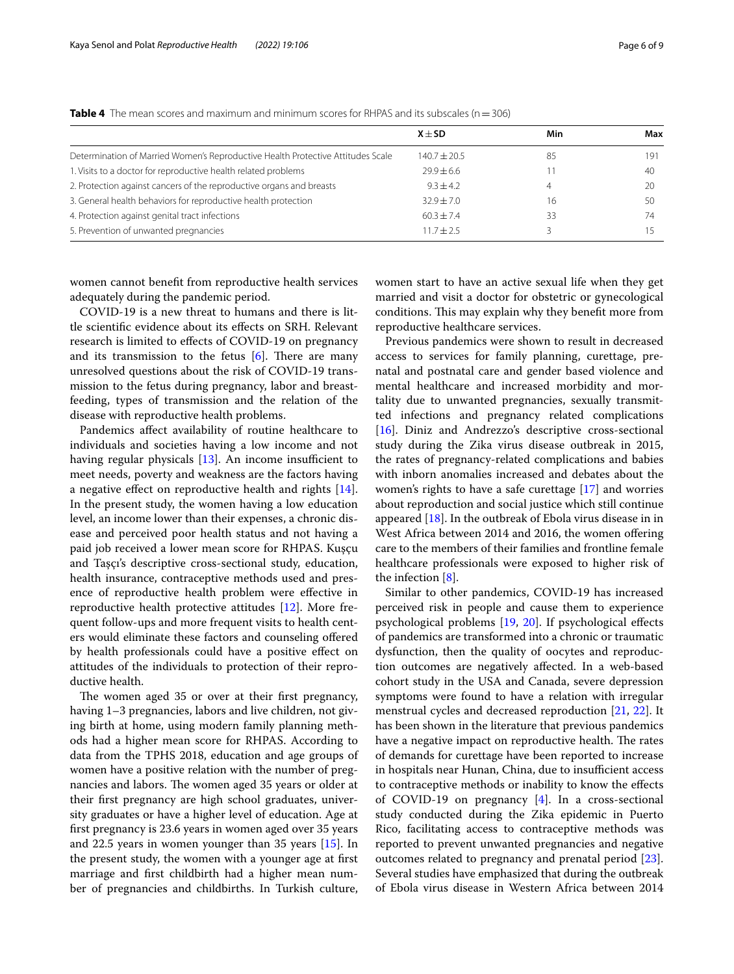|                                                                                 | $X + SD$       | Min | Max |
|---------------------------------------------------------------------------------|----------------|-----|-----|
| Determination of Married Women's Reproductive Health Protective Attitudes Scale | $140.7 + 20.5$ | 85  | 191 |
| 1. Visits to a doctor for reproductive health related problems                  | $79.9 + 6.6$   |     | 40  |
| 2. Protection against cancers of the reproductive organs and breasts            | $9.3 + 4.2$    | 4   | 20  |
| 3. General health behaviors for reproductive health protection                  | $32.9 + 7.0$   | 16  | 50  |
| 4. Protection against genital tract infections                                  | $60.3 + 7.4$   | 33  | 74  |
| 5. Prevention of unwanted pregnancies                                           | $11.7 + 2.5$   |     |     |

<span id="page-5-0"></span>**Table 4** The mean scores and maximum and minimum scores for RHPAS and its subscales (n = 306)

women cannot beneft from reproductive health services adequately during the pandemic period.

COVID-19 is a new threat to humans and there is little scientifc evidence about its efects on SRH. Relevant research is limited to efects of COVID-19 on pregnancy and its transmission to the fetus  $[6]$  $[6]$ . There are many unresolved questions about the risk of COVID-19 transmission to the fetus during pregnancy, labor and breastfeeding, types of transmission and the relation of the disease with reproductive health problems.

Pandemics afect availability of routine healthcare to individuals and societies having a low income and not having regular physicals  $[13]$ . An income insufficient to meet needs, poverty and weakness are the factors having a negative effect on reproductive health and rights [\[14](#page-7-12)]. In the present study, the women having a low education level, an income lower than their expenses, a chronic disease and perceived poor health status and not having a paid job received a lower mean score for RHPAS. Kuşçu and Taşçı's descriptive cross-sectional study, education, health insurance, contraceptive methods used and presence of reproductive health problem were efective in reproductive health protective attitudes [\[12](#page-7-10)]. More frequent follow-ups and more frequent visits to health centers would eliminate these factors and counseling ofered by health professionals could have a positive efect on attitudes of the individuals to protection of their reproductive health.

The women aged 35 or over at their first pregnancy, having 1-3 pregnancies, labors and live children, not giving birth at home, using modern family planning methods had a higher mean score for RHPAS. According to data from the TPHS 2018, education and age groups of women have a positive relation with the number of pregnancies and labors. The women aged 35 years or older at their frst pregnancy are high school graduates, university graduates or have a higher level of education. Age at frst pregnancy is 23.6 years in women aged over 35 years and 22.5 years in women younger than 35 years [\[15](#page-7-13)]. In the present study, the women with a younger age at frst marriage and frst childbirth had a higher mean number of pregnancies and childbirths. In Turkish culture, women start to have an active sexual life when they get married and visit a doctor for obstetric or gynecological conditions. This may explain why they benefit more from reproductive healthcare services.

Previous pandemics were shown to result in decreased access to services for family planning, curettage, prenatal and postnatal care and gender based violence and mental healthcare and increased morbidity and mortality due to unwanted pregnancies, sexually transmitted infections and pregnancy related complications [[16\]](#page-7-14). Diniz and Andrezzo's descriptive cross-sectional study during the Zika virus disease outbreak in 2015, the rates of pregnancy-related complications and babies with inborn anomalies increased and debates about the women's rights to have a safe curettage [\[17](#page-7-15)] and worries about reproduction and social justice which still continue appeared [[18\]](#page-7-16). In the outbreak of Ebola virus disease in in West Africa between 2014 and 2016, the women offering care to the members of their families and frontline female healthcare professionals were exposed to higher risk of the infection  $[8]$  $[8]$ .

Similar to other pandemics, COVID-19 has increased perceived risk in people and cause them to experience psychological problems [[19,](#page-7-17) [20](#page-7-18)]. If psychological efects of pandemics are transformed into a chronic or traumatic dysfunction, then the quality of oocytes and reproduction outcomes are negatively afected. In a web-based cohort study in the USA and Canada, severe depression symptoms were found to have a relation with irregular menstrual cycles and decreased reproduction [[21,](#page-7-19) [22\]](#page-7-20). It has been shown in the literature that previous pandemics have a negative impact on reproductive health. The rates of demands for curettage have been reported to increase in hospitals near Hunan, China, due to insufficient access to contraceptive methods or inability to know the efects of COVID-19 on pregnancy [\[4](#page-7-2)]. In a cross-sectional study conducted during the Zika epidemic in Puerto Rico, facilitating access to contraceptive methods was reported to prevent unwanted pregnancies and negative outcomes related to pregnancy and prenatal period [\[23](#page-7-21)]. Several studies have emphasized that during the outbreak of Ebola virus disease in Western Africa between 2014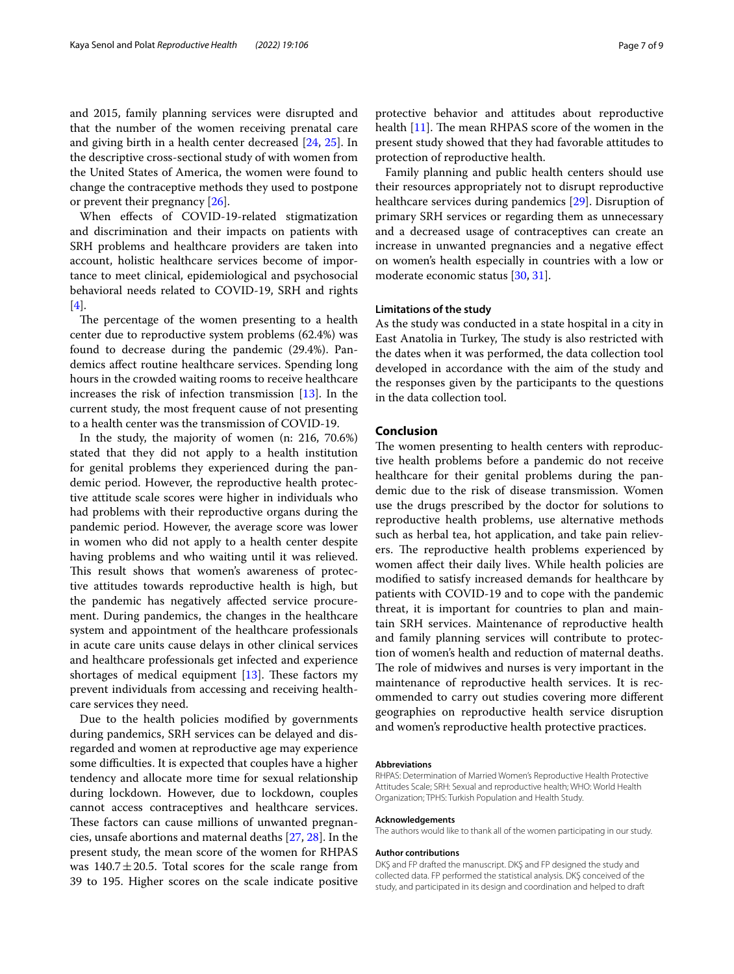and 2015, family planning services were disrupted and that the number of the women receiving prenatal care and giving birth in a health center decreased [[24](#page-7-22), [25](#page-7-23)]. In the descriptive cross-sectional study of with women from the United States of America, the women were found to change the contraceptive methods they used to postpone or prevent their pregnancy [\[26](#page-7-24)].

When efects of COVID-19-related stigmatization and discrimination and their impacts on patients with SRH problems and healthcare providers are taken into account, holistic healthcare services become of importance to meet clinical, epidemiological and psychosocial behavioral needs related to COVID-19, SRH and rights [[4\]](#page-7-2).

The percentage of the women presenting to a health center due to reproductive system problems (62.4%) was found to decrease during the pandemic (29.4%). Pandemics afect routine healthcare services. Spending long hours in the crowded waiting rooms to receive healthcare increases the risk of infection transmission [[13\]](#page-7-11). In the current study, the most frequent cause of not presenting to a health center was the transmission of COVID-19.

In the study, the majority of women (n: 216, 70.6%) stated that they did not apply to a health institution for genital problems they experienced during the pandemic period. However, the reproductive health protective attitude scale scores were higher in individuals who had problems with their reproductive organs during the pandemic period. However, the average score was lower in women who did not apply to a health center despite having problems and who waiting until it was relieved. This result shows that women's awareness of protective attitudes towards reproductive health is high, but the pandemic has negatively afected service procurement. During pandemics, the changes in the healthcare system and appointment of the healthcare professionals in acute care units cause delays in other clinical services and healthcare professionals get infected and experience shortages of medical equipment  $[13]$  $[13]$ . These factors my prevent individuals from accessing and receiving healthcare services they need.

Due to the health policies modifed by governments during pandemics, SRH services can be delayed and disregarded and women at reproductive age may experience some difficulties. It is expected that couples have a higher tendency and allocate more time for sexual relationship during lockdown. However, due to lockdown, couples cannot access contraceptives and healthcare services. These factors can cause millions of unwanted pregnancies, unsafe abortions and maternal deaths [[27,](#page-7-25) [28\]](#page-7-26). In the present study, the mean score of the women for RHPAS was  $140.7 \pm 20.5$ . Total scores for the scale range from 39 to 195. Higher scores on the scale indicate positive protective behavior and attitudes about reproductive health  $[11]$ . The mean RHPAS score of the women in the present study showed that they had favorable attitudes to protection of reproductive health.

Family planning and public health centers should use their resources appropriately not to disrupt reproductive healthcare services during pandemics [\[29](#page-7-27)]. Disruption of primary SRH services or regarding them as unnecessary and a decreased usage of contraceptives can create an increase in unwanted pregnancies and a negative efect on women's health especially in countries with a low or moderate economic status [[30,](#page-8-0) [31\]](#page-8-1).

## **Limitations of the study**

As the study was conducted in a state hospital in a city in East Anatolia in Turkey, The study is also restricted with the dates when it was performed, the data collection tool developed in accordance with the aim of the study and the responses given by the participants to the questions in the data collection tool.

#### **Conclusion**

The women presenting to health centers with reproductive health problems before a pandemic do not receive healthcare for their genital problems during the pandemic due to the risk of disease transmission. Women use the drugs prescribed by the doctor for solutions to reproductive health problems, use alternative methods such as herbal tea, hot application, and take pain relievers. The reproductive health problems experienced by women afect their daily lives. While health policies are modifed to satisfy increased demands for healthcare by patients with COVID-19 and to cope with the pandemic threat, it is important for countries to plan and maintain SRH services. Maintenance of reproductive health and family planning services will contribute to protection of women's health and reduction of maternal deaths. The role of midwives and nurses is very important in the maintenance of reproductive health services. It is recommended to carry out studies covering more diferent geographies on reproductive health service disruption and women's reproductive health protective practices.

#### **Abbreviations**

RHPAS: Determination of Married Women's Reproductive Health Protective Attitudes Scale; SRH: Sexual and reproductive health; WHO: World Health Organization; TPHS: Turkish Population and Health Study.

#### **Acknowledgements**

The authors would like to thank all of the women participating in our study.

#### **Author contributions**

DKŞ and FP drafted the manuscript. DKŞ and FP designed the study and collected data. FP performed the statistical analysis. DKŞ conceived of the study, and participated in its design and coordination and helped to draft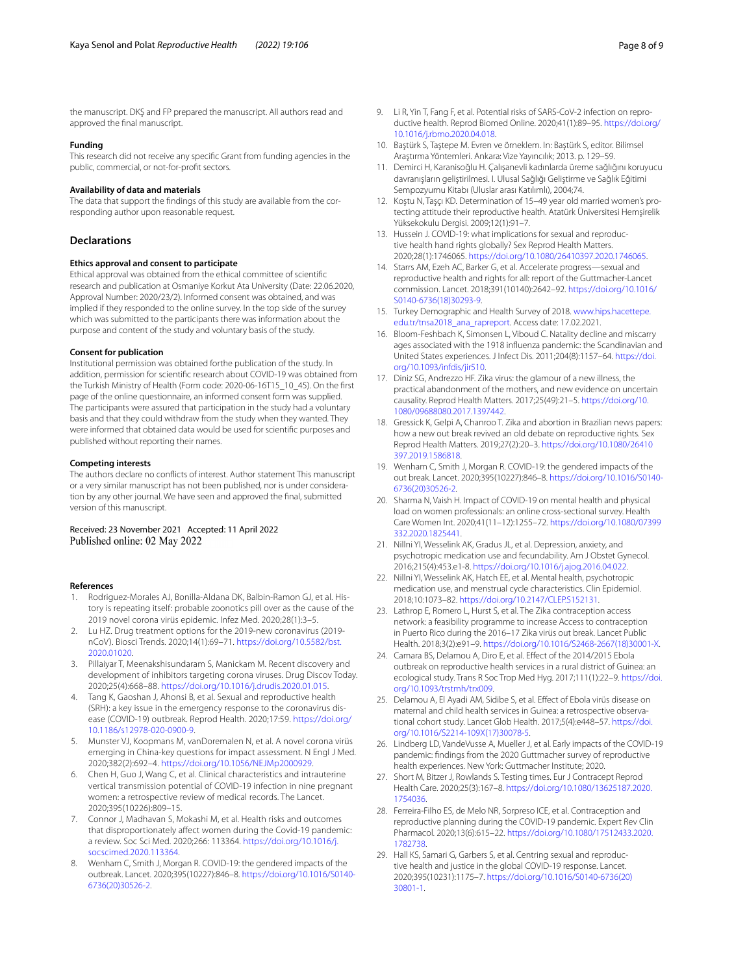the manuscript. DKŞ and FP prepared the manuscript. All authors read and approved the fnal manuscript.

#### **Funding**

This research did not receive any specifc Grant from funding agencies in the public, commercial, or not-for-proft sectors.

#### **Availability of data and materials**

The data that support the fndings of this study are available from the corresponding author upon reasonable request.

## **Declarations**

#### **Ethics approval and consent to participate**

Ethical approval was obtained from the ethical committee of scientifc research and publication at Osmaniye Korkut Ata University (Date: 22.06.2020, Approval Number: 2020/23/2). Informed consent was obtained, and was implied if they responded to the online survey. In the top side of the survey which was submitted to the participants there was information about the purpose and content of the study and voluntary basis of the study.

#### **Consent for publication**

Institutional permission was obtained forthe publication of the study. In addition, permission for scientifc research about COVID-19 was obtained from the Turkish Ministry of Health (Form code: 2020-06-16T15\_10\_45). On the frst page of the online questionnaire, an informed consent form was supplied. The participants were assured that participation in the study had a voluntary basis and that they could withdraw from the study when they wanted. They were informed that obtained data would be used for scientifc purposes and published without reporting their names.

#### **Competing interests**

The authors declare no conficts of interest. Author statement This manuscript or a very similar manuscript has not been published, nor is under consideration by any other journal. We have seen and approved the fnal, submitted version of this manuscript.

Received: 23 November 2021 Accepted: 11 April 2022 Published online: 02 May 2022

#### **References**

- <span id="page-7-0"></span>1. Rodriguez-Morales AJ, Bonilla-Aldana DK, Balbin-Ramon GJ, et al. History is repeating itself: probable zoonotics pill over as the cause of the 2019 novel corona virüs epidemic. Infez Med. 2020;28(1):3–5.
- <span id="page-7-1"></span>2. Lu HZ. Drug treatment options for the 2019-new coronavirus (2019 nCoV). Biosci Trends. 2020;14(1):69–71. [https://doi.org/10.5582/bst.](https://doi.org/10.5582/bst.2020.01020) [2020.01020.](https://doi.org/10.5582/bst.2020.01020)
- 3. Pillaiyar T, Meenakshisundaram S, Manickam M. Recent discovery and development of inhibitors targeting corona viruses. Drug Discov Today. 2020;25(4):668–88. [https://doi.org/10.1016/j.drudis.2020.01.015.](https://doi.org/10.1016/j.drudis.2020.01.015)
- <span id="page-7-2"></span>4. Tang K, Gaoshan J, Ahonsi B, et al. Sexual and reproductive health (SRH): a key issue in the emergency response to the coronavirus disease (COVID-19) outbreak. Reprod Health. 2020;17:59. [https://doi.org/](https://doi.org/10.1186/s12978-020-0900-9) [10.1186/s12978-020-0900-9](https://doi.org/10.1186/s12978-020-0900-9).
- <span id="page-7-3"></span>5. Munster VJ, Koopmans M, vanDoremalen N, et al. A novel corona virüs emerging in China-key questions for impact assessment. N Engl J Med. 2020;382(2):692–4. <https://doi.org/10.1056/NEJMp2000929>.
- <span id="page-7-4"></span>6. Chen H, Guo J, Wang C, et al. Clinical characteristics and intrauterine vertical transmission potential of COVID-19 infection in nine pregnant women: a retrospective review of medical records. The Lancet. 2020;395(10226):809–15.
- <span id="page-7-5"></span>7. Connor J, Madhavan S, Mokashi M, et al. Health risks and outcomes that disproportionately affect women during the Covid-19 pandemic: a review. Soc Sci Med. 2020;266: 113364. [https://doi.org/10.1016/j.](https://doi.org/10.1016/j.socscimed.2020.113364) [socscimed.2020.113364.](https://doi.org/10.1016/j.socscimed.2020.113364)
- <span id="page-7-6"></span>8. Wenham C, Smith J, Morgan R. COVID-19: the gendered impacts of the outbreak. Lancet. 2020;395(10227):846–8. [https://doi.org/10.1016/S0140-](https://doi.org/10.1016/S0140-6736(20)30526-2) [6736\(20\)30526-2.](https://doi.org/10.1016/S0140-6736(20)30526-2)
- <span id="page-7-7"></span>9. Li R, Yin T, Fang F, et al. Potential risks of SARS-CoV-2 infection on reproductive health. Reprod Biomed Online. 2020;41(1):89–95. [https://doi.org/](https://doi.org/10.1016/j.rbmo.2020.04.018) [10.1016/j.rbmo.2020.04.018.](https://doi.org/10.1016/j.rbmo.2020.04.018)
- <span id="page-7-8"></span>10. Baştürk S, Taştepe M. Evren ve örneklem. In: Baştürk S, editor. Bilimsel Araştırma Yöntemleri. Ankara: Vize Yayıncılık; 2013. p. 129–59.
- <span id="page-7-9"></span>11. Demirci H, Karanisoğlu H. Çalışanevli kadınlarda üreme sağlığını koruyucu davranışların geliştirilmesi. I. Ulusal Sağlığı Geliştirme ve Sağlık Eğitimi Sempozyumu Kitabı (Uluslar arası Katılımlı), 2004;74.
- <span id="page-7-10"></span>12. Koştu N, Taşçı KD. Determination of 15–49 year old married women's protecting attitude their reproductive health. Atatürk Üniversitesi Hemşirelik Yüksekokulu Dergisi. 2009;12(1):91–7.
- <span id="page-7-11"></span>13. Hussein J. COVID-19: what implications for sexual and reproductive health hand rights globally? Sex Reprod Health Matters. 2020;28(1):1746065.<https://doi.org/10.1080/26410397.2020.1746065>.
- <span id="page-7-12"></span>14. Starrs AM, Ezeh AC, Barker G, et al. Accelerate progress—sexual and reproductive health and rights for all: report of the Guttmacher-Lancet commission. Lancet. 2018;391(10140):2642–92. [https://doi.org/10.1016/](https://doi.org/10.1016/S0140-6736(18)30293-9) [S0140-6736\(18\)30293-9](https://doi.org/10.1016/S0140-6736(18)30293-9).
- <span id="page-7-13"></span>15. Turkey Demographic and Health Survey of 2018. [www.hips.hacettepe.](http://www.hips.hacettepe.edu.tr/tnsa2018_ana_rapreport) [edu.tr/tnsa2018\\_ana\\_rapreport.](http://www.hips.hacettepe.edu.tr/tnsa2018_ana_rapreport) Access date: 17.02.2021.
- <span id="page-7-14"></span>16. Bloom-Feshbach K, Simonsen L, Viboud C. Natality decline and miscarry ages associated with the 1918 infuenza pandemic: the Scandinavian and United States experiences. J Infect Dis. 2011;204(8):1157–64. [https://doi.](https://doi.org/10.1093/infdis/jir510) [org/10.1093/infdis/jir510](https://doi.org/10.1093/infdis/jir510).
- <span id="page-7-15"></span>17. Diniz SG, Andrezzo HF. Zika virus: the glamour of a new illness, the practical abandonment of the mothers, and new evidence on uncertain causality. Reprod Health Matters. 2017;25(49):21–5. [https://doi.org/10.](https://doi.org/10.1080/09688080.2017.1397442) [1080/09688080.2017.1397442](https://doi.org/10.1080/09688080.2017.1397442).
- <span id="page-7-16"></span>18. Gressick K, Gelpi A, Chanroo T. Zika and abortion in Brazilian news papers: how a new out break revived an old debate on reproductive rights. Sex Reprod Health Matters. 2019;27(2):20–3. [https://doi.org/10.1080/26410](https://doi.org/10.1080/26410397.2019.1586818) [397.2019.1586818.](https://doi.org/10.1080/26410397.2019.1586818)
- <span id="page-7-17"></span>19. Wenham C, Smith J, Morgan R. COVID-19: the gendered impacts of the out break. Lancet. 2020;395(10227):846–8. [https://doi.org/10.1016/S0140-](https://doi.org/10.1016/S0140-6736(20)30526-2) [6736\(20\)30526-2.](https://doi.org/10.1016/S0140-6736(20)30526-2)
- <span id="page-7-18"></span>20. Sharma N, Vaish H. Impact of COVID-19 on mental health and physical load on women professionals: an online cross-sectional survey. Health Care Women Int. 2020;41(11–12):1255–72. [https://doi.org/10.1080/07399](https://doi.org/10.1080/07399332.2020.1825441) [332.2020.1825441.](https://doi.org/10.1080/07399332.2020.1825441)
- <span id="page-7-19"></span>21. Nillni YI, Wesselink AK, Gradus JL, et al. Depression, anxiety, and psychotropic medication use and fecundability. Am J Obstet Gynecol. 2016;215(4):453.e1-8. [https://doi.org/10.1016/j.ajog.2016.04.022.](https://doi.org/10.1016/j.ajog.2016.04.022)
- <span id="page-7-20"></span>22. Nillni YI, Wesselink AK, Hatch EE, et al. Mental health, psychotropic medication use, and menstrual cycle characteristics. Clin Epidemiol. 2018;10:1073–82. <https://doi.org/10.2147/CLEP.S152131>.
- <span id="page-7-21"></span>23. Lathrop E, Romero L, Hurst S, et al. The Zika contraception access network: a feasibility programme to increase Access to contraception in Puerto Rico during the 2016–17 Zika virüs out break. Lancet Public Health. 2018;3(2):e91–9. [https://doi.org/10.1016/S2468-2667\(18\)30001-X.](https://doi.org/10.1016/S2468-2667(18)30001-X)
- <span id="page-7-22"></span>24. Camara BS, Delamou A, Diro E, et al. Effect of the 2014/2015 Ebola outbreak on reproductive health services in a rural district of Guinea: an ecological study. Trans R Soc Trop Med Hyg. 2017;111(1):22–9. [https://doi.](https://doi.org/10.1093/trstmh/trx009) [org/10.1093/trstmh/trx009.](https://doi.org/10.1093/trstmh/trx009)
- <span id="page-7-23"></span>25. Delamou A, El Ayadi AM, Sidibe S, et al. Efect of Ebola virüs disease on maternal and child health services in Guinea: a retrospective observational cohort study. Lancet Glob Health. 2017;5(4):e448–57. [https://doi.](https://doi.org/10.1016/S2214-109X(17)30078-5) [org/10.1016/S2214-109X\(17\)30078-5](https://doi.org/10.1016/S2214-109X(17)30078-5).
- <span id="page-7-24"></span>26. Lindberg LD, VandeVusse A, Mueller J, et al. Early impacts of the COVID-19 pandemic: fndings from the 2020 Guttmacher survey of reproductive health experiences. New York: Guttmacher Institute; 2020.
- <span id="page-7-25"></span>27. Short M, Bitzer J, Rowlands S. Testing times. Eur J Contracept Reprod Health Care. 2020;25(3):167–8. [https://doi.org/10.1080/13625187.2020.](https://doi.org/10.1080/13625187.2020.1754036) [1754036](https://doi.org/10.1080/13625187.2020.1754036).
- <span id="page-7-26"></span>28. Ferreira-Filho ES, de Melo NR, Sorpreso ICE, et al. Contraception and reproductive planning during the COVID-19 pandemic. Expert Rev Clin Pharmacol. 2020;13(6):615–22. [https://doi.org/10.1080/17512433.2020.](https://doi.org/10.1080/17512433.2020.1782738) [1782738](https://doi.org/10.1080/17512433.2020.1782738).
- <span id="page-7-27"></span>29. Hall KS, Samari G, Garbers S, et al. Centring sexual and reproductive health and justice in the global COVID-19 response. Lancet. 2020;395(10231):1175–7. [https://doi.org/10.1016/S0140-6736\(20\)](https://doi.org/10.1016/S0140-6736(20)30801-1) [30801-1.](https://doi.org/10.1016/S0140-6736(20)30801-1)